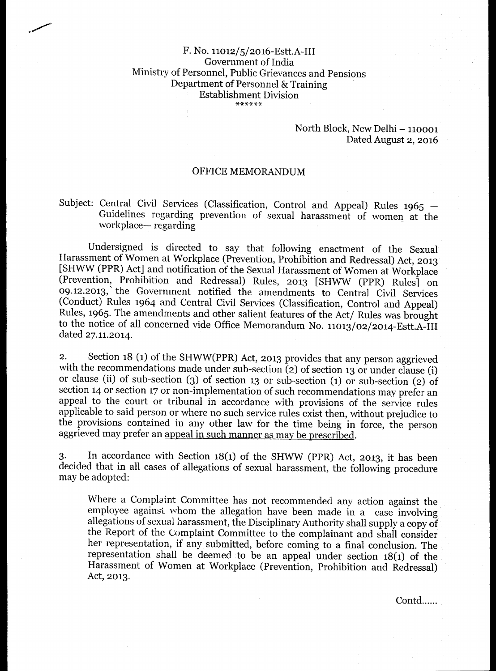## F. No. 11012/5/2016-Estt.A-III Government of India Ministry of Personnel, Public Grievances and Pensions Department of Personnel & Training Establishment Division

## North Block, New Delhi — 110001 Dated August 2, 2016

## OFFICE MEMORANDUM

## Subject: Central Civil Services (Classification, Control and Appeal) Rules 1965 --Guidelines regarding prevention of sexual harassment of women at the workplace— regarding

Undersigned is directed to say that following enactment of the Sexual Harassment of Women at Workplace (Prevention, Prohibition and Redressal) Act, 2013 [SHWW (PPR) Act] and notification of the Sexual Harassment of Women at Workplace (Prevention, Prohibition and Redressal) Rules, 2013 [SHWW (PPR) Rules] on 09.12.2013, the Government notified the amendments to Central Civil Services (Conduct) Rules 1964 and Central Civil Services (Classification, Control and Appeal) Rules, 1965. The amendments and other salient features of the Act/ Rules was brought to the notice of all concerned vide Office Memorandum No. 11013/02/ 2014-Estt.A-III dated 27.11.2014.

2. Section 18 (1) of the SHWW(PPR) Act, 2013 provides that any person aggrieved with the recommendations made under sub-section (2) of section 13 or under clause (i) or clause (ii) of sub-section (3) of section 13 or sub-section (1) or sub-section (2) of section 14 or section 17 or non-implementation of such recommendations may prefer an appeal to the court or tribunal in accordance with provisions of the service rules applicable to said person or where no such service rules exist then, without prejudice to the provisions contained in any other law for the time being in force, the person aggrieved may prefer an appeal in such manner as may be prescribed.

3. In accordance with Section  $18(1)$  of the SHWW (PPR) Act, 2013, it has been decided that in all cases of allegations of sexual harassment, the following procedure may be adopted:

Where a Complaint Committee has not recommended any action against the employee against whom the allegation have been made in a case involving allegations of sexual harassment, the Disciplinary Authority shall supply a copy of the Report of the Complaint Committee to the complainant and shall consider her representation, if any submitted, before coming to a final conclusion. The representation shall be deemed to be an appeal under section  $18(1)$  of the Harassment of Women at Workplace (Prevention, Prohibition and Redressal) Act, 2013.

Contd......